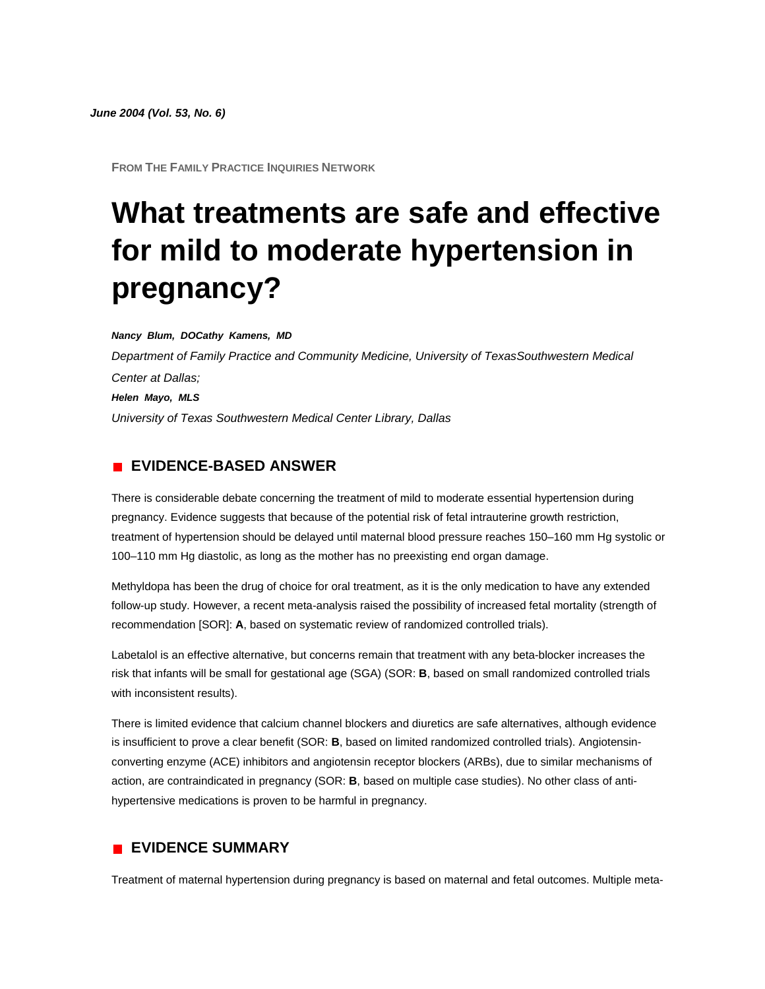**FROM THE FAMILY PRACTICE INQUIRIES NETWORK**

# **What treatments are safe and effective for mild to moderate hypertension in pregnancy?**

*Nancy Blum, DOCathy Kamens, MD Department of Family Practice and Community Medicine, University of TexasSouthwestern Medical Center at Dallas; Helen Mayo, MLS University of Texas Southwestern Medical Center Library, Dallas*

#### **EVIDENCE-BASED ANSWER**

There is considerable debate concerning the treatment of mild to moderate essential hypertension during pregnancy. Evidence suggests that because of the potential risk of fetal intrauterine growth restriction, treatment of hypertension should be delayed until maternal blood pressure reaches 150–160 mm Hg systolic or 100–110 mm Hg diastolic, as long as the mother has no preexisting end organ damage.

Methyldopa has been the drug of choice for oral treatment, as it is the only medication to have any extended follow-up study. However, a recent meta-analysis raised the possibility of increased fetal mortality (strength of recommendation [SOR]: **A**, based on systematic review of randomized controlled trials).

Labetalol is an effective alternative, but concerns remain that treatment with any beta-blocker increases the risk that infants will be small for gestational age (SGA) (SOR: **B**, based on small randomized controlled trials with inconsistent results).

There is limited evidence that calcium channel blockers and diuretics are safe alternatives, although evidence is insufficient to prove a clear benefit (SOR: **B**, based on limited randomized controlled trials). Angiotensinconverting enzyme (ACE) inhibitors and angiotensin receptor blockers (ARBs), due to similar mechanisms of action, are contraindicated in pregnancy (SOR: **B**, based on multiple case studies). No other class of antihypertensive medications is proven to be harmful in pregnancy.

### **EVIDENCE SUMMARY**

Treatment of maternal hypertension during pregnancy is based on maternal and fetal outcomes. Multiple meta-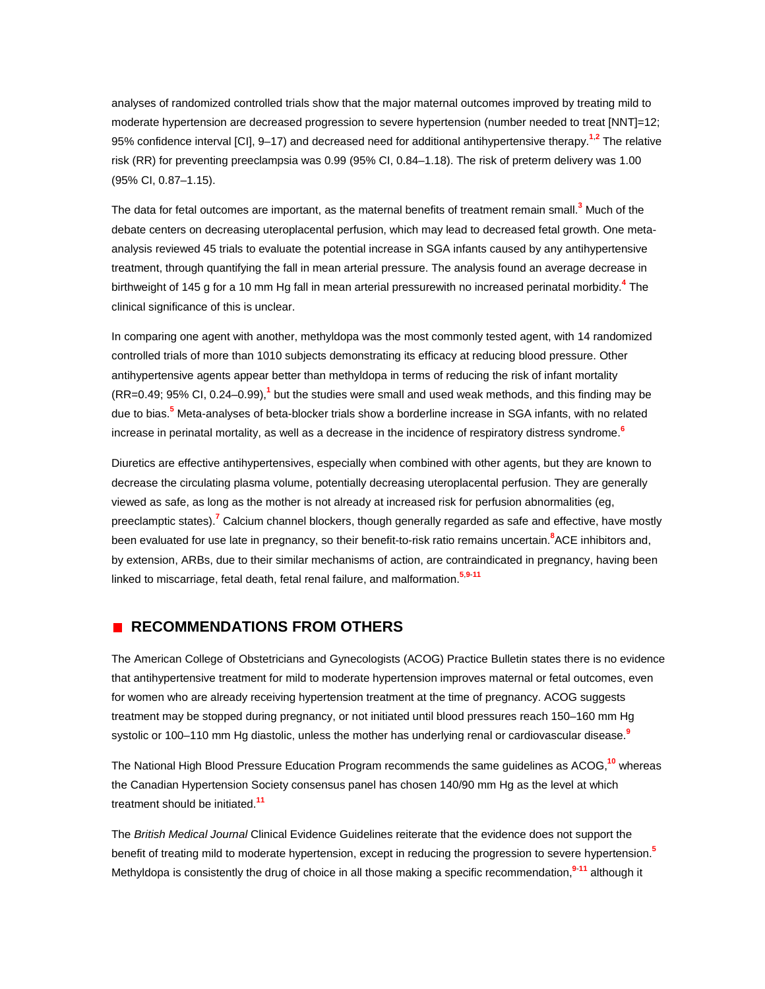analyses of randomized controlled trials show that the major maternal outcomes improved by treating mild to moderate hypertension are decreased progression to severe hypertension (number needed to treat [NNT]=12; 95% confidence interval [CI], 9–17) and decreased need for additional antihypertensive therap[y.](http://www.jfponline.com/Pages.asp?AID=1713&issue=June_2004&UID=#bib1)**<sup>1</sup>**,**[2](http://www.jfponline.com/Pages.asp?AID=1713&issue=June_2004&UID=#bib2)** The relative risk (RR) for preventing preeclampsia was 0.99 (95% CI, 0.84–1.18). The risk of preterm delivery was 1.00 (95% CI, 0.87–1.15).

The data for fetal outcomes are important, as the maternal benefits of treatment remain smal[l.](http://www.jfponline.com/Pages.asp?AID=1713&issue=June_2004&UID=#bib3)**<sup>3</sup>** Much of the debate centers on decreasing uteroplacental perfusion, which may lead to decreased fetal growth. One metaanalysis reviewed 45 trials to evaluate the potential increase in SGA infants caused by any antihypertensive treatment, through quantifying the fall in mean arterial pressure. The analysis found an average decrease in birthweight of 145 g for a 10 mm Hg fall in mean arterial pressurewith no increased perinatal morbidit[y.](http://www.jfponline.com/Pages.asp?AID=1713&issue=June_2004&UID=#bib4)**<sup>4</sup>** The clinical significance of this is unclear.

In comparing one agent with another, methyldopa was the most commonly tested agent, with 14 randomized controlled trials of more than 1010 subjects demonstrating its efficacy at reducing blood pressure. Other antihypertensive agents appear better than methyldopa in terms of reducing the risk of infant mortality (RR=0.49; 95% CI, 0.24–0.99)[,](http://www.jfponline.com/Pages.asp?AID=1713&issue=June_2004&UID=#bib1)**<sup>1</sup>** but the studies were small and used weak methods, and this finding may be due to bia[s.](http://www.jfponline.com/Pages.asp?AID=1713&issue=June_2004&UID=#bib5)**<sup>5</sup>** Meta-analyses of beta-blocker trials show a borderline increase in SGA infants, with no related increase in perinatal mortality, as well as a decrease in the incidence of respiratory distress syndrom[e.](http://www.jfponline.com/Pages.asp?AID=1713&issue=June_2004&UID=#bib6)**<sup>6</sup>**

Diuretics are effective antihypertensives, especially when combined with other agents, but they are known to decrease the circulating plasma volume, potentially decreasing uteroplacental perfusion. They are generally viewed as safe, as long as the mother is not already at increased risk for perfusion abnormalities (eg, preeclamptic states[\).](http://www.jfponline.com/Pages.asp?AID=1713&issue=June_2004&UID=#bib7)**<sup>7</sup>** Calcium channel blockers, though generally regarded as safe and effective, have mostly been evaluated for use late in pregnancy, so their benefit-to-risk ratio remains uncertai[n.](http://www.jfponline.com/Pages.asp?AID=1713&issue=June_2004&UID=#bib8)**<sup>8</sup>** ACE inhibitors and, by extension, ARBs, due to their similar mechanisms of action, are contraindicated in pregnancy, having been linked to miscarriage, fetal death, fetal renal failure, and malformatio[n.](http://www.jfponline.com/Pages.asp?AID=1713&issue=June_2004&UID=#bib5)**<sup>5</sup>**,**[9](http://www.jfponline.com/Pages.asp?AID=1713&issue=June_2004&UID=#bib9)**-**[11](http://www.jfponline.com/Pages.asp?AID=1713&issue=June_2004&UID=#bib11)**

#### **RECOMMENDATIONS FROM OTHERS**

The American College of Obstetricians and Gynecologists (ACOG) Practice Bulletin states there is no evidence that antihypertensive treatment for mild to moderate hypertension improves maternal or fetal outcomes, even for women who are already receiving hypertension treatment at the time of pregnancy. ACOG suggests treatment may be stopped during pregnancy, or not initiated until blood pressures reach 150–160 mm Hg systolic or 100–110 mm Hg diastolic, unless the mother has underlying renal or cardiovascular diseas[e.](http://www.jfponline.com/Pages.asp?AID=1713&issue=June_2004&UID=#bib9)**<sup>9</sup>**

The National High Blood Pressure Education Program recommends the same guidelines as ACOG,**[10](http://www.jfponline.com/Pages.asp?AID=1713&issue=June_2004&UID=#bib10)** whereas the Canadian Hypertension Society consensus panel has chosen 140/90 mm Hg as the level at which treatment should be initiated.**[11](http://www.jfponline.com/Pages.asp?AID=1713&issue=June_2004&UID=#bib11)**

The *British Medical Journal* Clinical Evidence Guidelines reiterate that the evidence does not support the benefit of treating mild to moderate hypertension, except in reducing the progression to severe hypertensio[n.](http://www.jfponline.com/Pages.asp?AID=1713&issue=June_2004&UID=#bib5)**<sup>5</sup>** Methyldopa is consistently the drug of choice in all those making a specific recommendatio[n,](http://www.jfponline.com/Pages.asp?AID=1713&issue=June_2004&UID=#bib9)**<sup>9</sup>**-**[11](http://www.jfponline.com/Pages.asp?AID=1713&issue=June_2004&UID=#bib11)** although it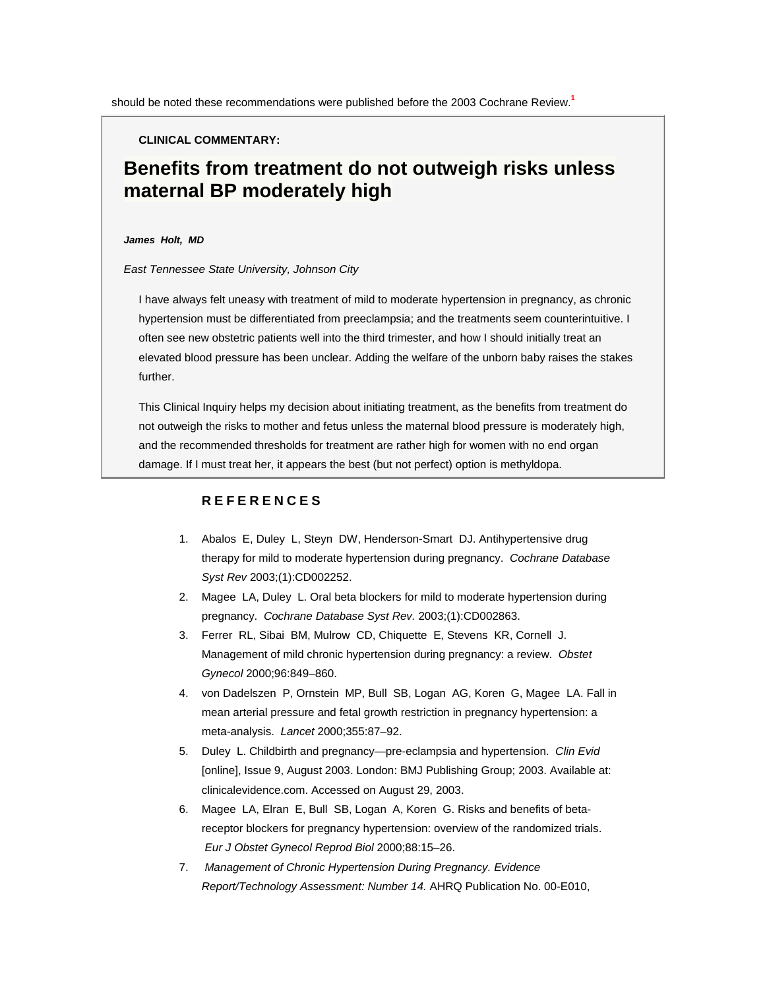**CLINICAL COMMENTARY:**

## **Benefits from treatment do not outweigh risks unless maternal BP moderately high**

#### *James Holt, MD*

*East Tennessee State University, Johnson City*

I have always felt uneasy with treatment of mild to moderate hypertension in pregnancy, as chronic hypertension must be differentiated from preeclampsia; and the treatments seem counterintuitive. I often see new obstetric patients well into the third trimester, and how I should initially treat an elevated blood pressure has been unclear. Adding the welfare of the unborn baby raises the stakes further.

This Clinical Inquiry helps my decision about initiating treatment, as the benefits from treatment do not outweigh the risks to mother and fetus unless the maternal blood pressure is moderately high, and the recommended thresholds for treatment are rather high for women with no end organ damage. If I must treat her, it appears the best (but not perfect) option is methyldopa.

#### **REFERENCES**

- 1. Abalos E, Duley L, Steyn DW, Henderson-Smart DJ. Antihypertensive drug therapy for mild to moderate hypertension during pregnancy. *Cochrane Database Syst Rev* 2003;(1):CD002252.
- 2. Magee LA, Duley L. Oral beta blockers for mild to moderate hypertension during pregnancy. *Cochrane Database Syst Rev.* 2003;(1):CD002863.
- 3. Ferrer RL, Sibai BM, Mulrow CD, Chiquette E, Stevens KR, Cornell J. Management of mild chronic hypertension during pregnancy: a review. *Obstet Gynecol* 2000;96:849–860.
- 4. von Dadelszen P, Ornstein MP, Bull SB, Logan AG, Koren G, Magee LA. Fall in mean arterial pressure and fetal growth restriction in pregnancy hypertension: a meta-analysis. *Lancet* 2000;355:87–92.
- 5. Duley L. Childbirth and pregnancy—pre-eclampsia and hypertension. *Clin Evid* [online], Issue 9, August 2003. London: BMJ Publishing Group; 2003. Available at: clinicalevidence.com. Accessed on August 29, 2003.
- 6. Magee LA, Elran E, Bull SB, Logan A, Koren G. Risks and benefits of betareceptor blockers for pregnancy hypertension: overview of the randomized trials. *Eur J Obstet Gynecol Reprod Biol* 2000;88:15–26.
- 7. *Management of Chronic Hypertension During Pregnancy. Evidence Report/Technology Assessment: Number 14.* AHRQ Publication No. 00-E010,